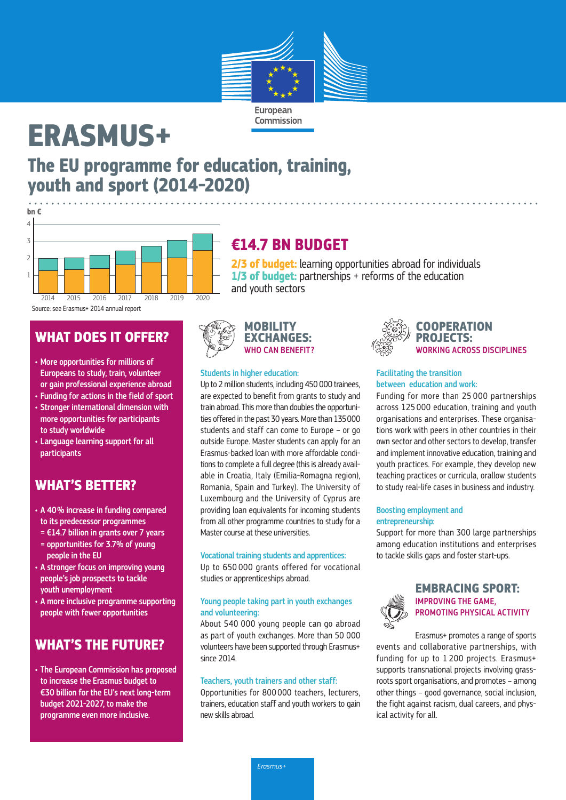

# **ERASMUS+**

# **The EU programme for education, training, youth and sport (2014-2020)**



Source: see Erasmus+ 2014 annual report

### **WHAT DOES IT OFFER?**

- More opportunities for millions of Europeans to study, train, volunteer or gain professional experience abroad
- Funding for actions in the field of sport • Stronger international dimension with
- more opportunities for participants to study worldwide
- Language learning support for all participants

### **WHAT'S BETTER?**

- A 40% increase in funding compared to its predecessor programmes
- = €14.7 billion in grants over 7 years = opportunities for 3.7% of young
- people in the EU
- A stronger focus on improving young people's job prospects to tackle youth unemployment
- A more inclusive programme supporting people with fewer opportunities

### **WHAT'S THE FUTURE?**

• The European Commission has proposed to increase the Erasmus budget to €30 billion for the EU's next long-term budget 2021-2027, to make the programme even more inclusive.

## **€14.7 BN BUDGET**

**2/3 of budget:** learning opportunities abroad for individuals **1/3 of budget:** partnerships + reforms of the education and youth sectors

**MOBILITY EXCHANGES:** WHO CAN BENEFIT?

#### Students in higher education:

Up to 2 million students, including 450 000 trainees, are expected to benefit from grants to study and train abroad. This more than doubles the opportunities offered in the past 30 years. More than 135000 students and staff can come to Europe – or go outside Europe. Master students can apply for an Erasmus-backed loan with more affordable conditions to complete a full degree (this is already available in Croatia, Italy (Emilia-Romagna region), Romania, Spain and Turkey). The University of Luxembourg and the University of Cyprus are providing loan equivalents for incoming students from all other programme countries to study for a Master course at these universities.

#### Vocational training students and apprentices:

Up to 650 000 grants offered for vocational studies or apprenticeships abroad.

#### Young people taking part in youth exchanges and volunteering:

About 540 000 young people can go abroad as part of youth exchanges. More than 50 000 volunteers have been supported through Erasmus+ since 2014.

#### Teachers, youth trainers and other staff:

Opportunities for 800 000 teachers, lecturers, trainers, education staff and youth workers to gain new skills abroad.



#### Facilitating the transition between education and work:

Funding for more than 25 000 partnerships across 125 000 education, training and youth organisations and enterprises. These organisations work with peers in other countries in their own sector and other sectors to develop, transfer and implement innovative education, training and youth practices. For example, they develop new teaching practices or curricula, orallow students to study real-life cases in business and industry.

#### Boosting employment and entrepreneurship:

Support for more than 300 large partnerships among education institutions and enterprises to tackle skills gaps and foster start-ups.



#### **EMBRACING SPORT:** IMPROVING THE GAME, PROMOTING PHYSICAL ACTIVITY

Erasmus+ promotes a range of sports events and collaborative partnerships, with funding for up to 1 200 projects. Erasmus+ supports transnational projects involving grassroots sport organisations, and promotes – among other things – good governance, social inclusion, the fight against racism, dual careers, and physical activity for all.